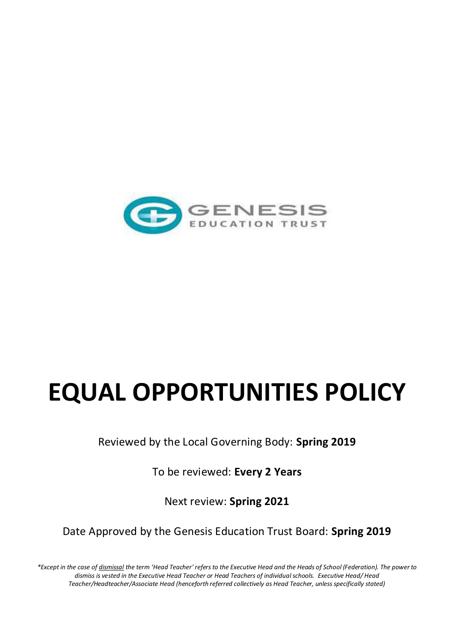

# **EQUAL OPPORTUNITIES POLICY**

Reviewed by the Local Governing Body: **Spring 2019**

To be reviewed: **Every 2 Years** 

Next review: **Spring 2021**

Date Approved by the Genesis Education Trust Board: **Spring 2019**

*\*Except in the case of dismissal the term 'Head Teacher' refers to the Executive Head and the Heads of School (Federation). The power to dismiss is vested in the Executive Head Teacher or Head Teachers of individual schools. Executive Head/ Head Teacher/Headteacher/Associate Head (henceforth referred collectively as Head Teacher, unless specifically stated)*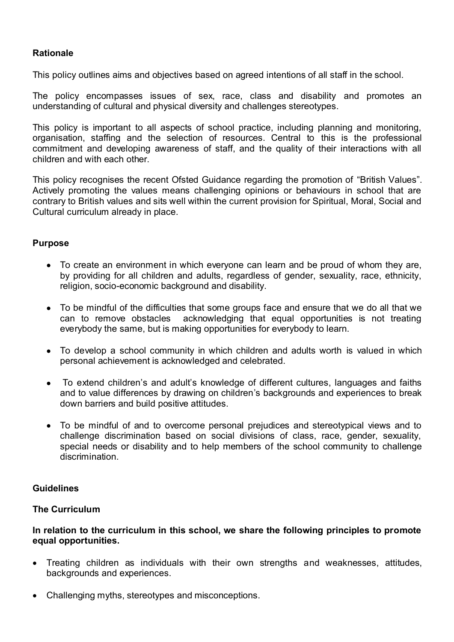# **Rationale**

This policy outlines aims and objectives based on agreed intentions of all staff in the school.

The policy encompasses issues of sex, race, class and disability and promotes an understanding of cultural and physical diversity and challenges stereotypes.

This policy is important to all aspects of school practice, including planning and monitoring, organisation, staffing and the selection of resources. Central to this is the professional commitment and developing awareness of staff, and the quality of their interactions with all children and with each other.

This policy recognises the recent Ofsted Guidance regarding the promotion of "British Values". Actively promoting the values means challenging opinions or behaviours in school that are contrary to British values and sits well within the current provision for Spiritual, Moral, Social and Cultural curriculum already in place.

#### **Purpose**

- To create an environment in which everyone can learn and be proud of whom they are, by providing for all children and adults, regardless of gender, sexuality, race, ethnicity, religion, socio-economic background and disability.
- To be mindful of the difficulties that some groups face and ensure that we do all that we can to remove obstacles acknowledging that equal opportunities is not treating everybody the same, but is making opportunities for everybody to learn.
- To develop a school community in which children and adults worth is valued in which personal achievement is acknowledged and celebrated.
- To extend children's and adult's knowledge of different cultures, languages and faiths and to value differences by drawing on children's backgrounds and experiences to break down barriers and build positive attitudes.
- To be mindful of and to overcome personal prejudices and stereotypical views and to challenge discrimination based on social divisions of class, race, gender, sexuality, special needs or disability and to help members of the school community to challenge discrimination.

## **Guidelines**

## **The Curriculum**

#### **In relation to the curriculum in this school, we share the following principles to promote equal opportunities.**

- Treating children as individuals with their own strengths and weaknesses, attitudes, backgrounds and experiences.
- Challenging myths, stereotypes and misconceptions.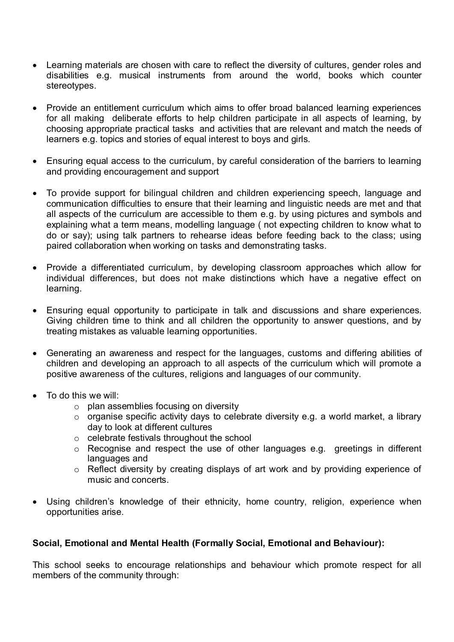- Learning materials are chosen with care to reflect the diversity of cultures, gender roles and disabilities e.g. musical instruments from around the world, books which counter stereotypes.
- Provide an entitlement curriculum which aims to offer broad balanced learning experiences for all making deliberate efforts to help children participate in all aspects of learning, by choosing appropriate practical tasks and activities that are relevant and match the needs of learners e.g. topics and stories of equal interest to boys and girls.
- Ensuring equal access to the curriculum, by careful consideration of the barriers to learning and providing encouragement and support
- To provide support for bilingual children and children experiencing speech, language and communication difficulties to ensure that their learning and linguistic needs are met and that all aspects of the curriculum are accessible to them e.g. by using pictures and symbols and explaining what a term means, modelling language ( not expecting children to know what to do or say); using talk partners to rehearse ideas before feeding back to the class; using paired collaboration when working on tasks and demonstrating tasks.
- Provide a differentiated curriculum, by developing classroom approaches which allow for individual differences, but does not make distinctions which have a negative effect on learning.
- Ensuring equal opportunity to participate in talk and discussions and share experiences. Giving children time to think and all children the opportunity to answer questions, and by treating mistakes as valuable learning opportunities.
- Generating an awareness and respect for the languages, customs and differing abilities of children and developing an approach to all aspects of the curriculum which will promote a positive awareness of the cultures, religions and languages of our community.
- To do this we will:
	- $\circ$  plan assemblies focusing on diversity
	- $\circ$  organise specific activity days to celebrate diversity e.g. a world market, a library day to look at different cultures
	- o celebrate festivals throughout the school
	- o Recognise and respect the use of other languages e.g. greetings in different languages and
	- o Reflect diversity by creating displays of art work and by providing experience of music and concerts.
- Using children's knowledge of their ethnicity, home country, religion, experience when opportunities arise.

# **Social, Emotional and Mental Health (Formally Social, Emotional and Behaviour):**

This school seeks to encourage relationships and behaviour which promote respect for all members of the community through: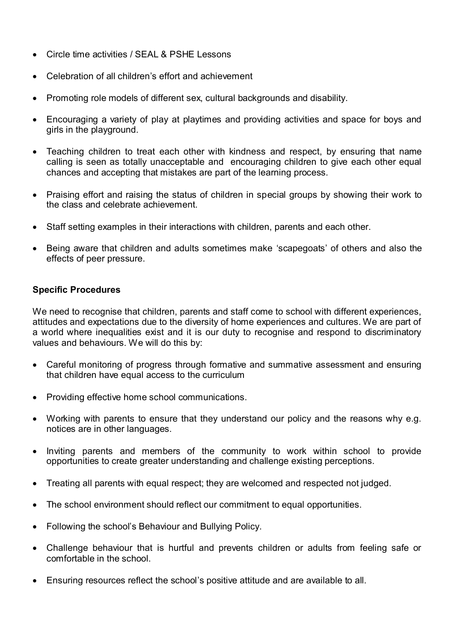- Circle time activities / SEAL & PSHE Lessons
- Celebration of all children's effort and achievement
- Promoting role models of different sex, cultural backgrounds and disability.
- Encouraging a variety of play at playtimes and providing activities and space for boys and girls in the playground.
- Teaching children to treat each other with kindness and respect, by ensuring that name calling is seen as totally unacceptable and encouraging children to give each other equal chances and accepting that mistakes are part of the learning process.
- Praising effort and raising the status of children in special groups by showing their work to the class and celebrate achievement.
- Staff setting examples in their interactions with children, parents and each other.
- Being aware that children and adults sometimes make 'scapegoats' of others and also the effects of peer pressure.

## **Specific Procedures**

We need to recognise that children, parents and staff come to school with different experiences, attitudes and expectations due to the diversity of home experiences and cultures. We are part of a world where inequalities exist and it is our duty to recognise and respond to discriminatory values and behaviours. We will do this by:

- Careful monitoring of progress through formative and summative assessment and ensuring that children have equal access to the curriculum
- Providing effective home school communications.
- Working with parents to ensure that they understand our policy and the reasons why e.g. notices are in other languages.
- Inviting parents and members of the community to work within school to provide opportunities to create greater understanding and challenge existing perceptions.
- Treating all parents with equal respect; they are welcomed and respected not judged.
- The school environment should reflect our commitment to equal opportunities.
- Following the school's Behaviour and Bullying Policy.
- Challenge behaviour that is hurtful and prevents children or adults from feeling safe or comfortable in the school.
- Ensuring resources reflect the school's positive attitude and are available to all.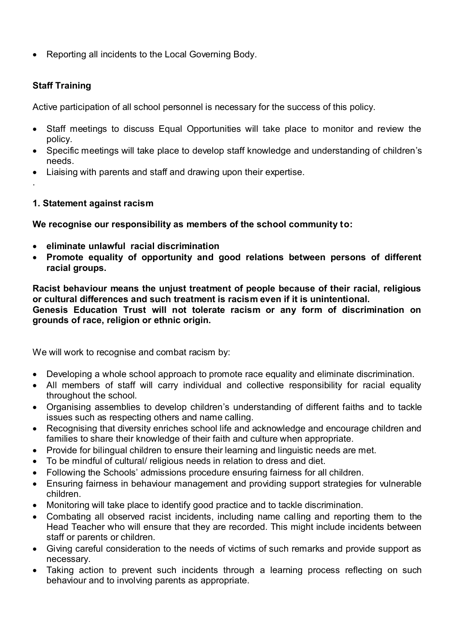Reporting all incidents to the Local Governing Body.

# **Staff Training**

.

Active participation of all school personnel is necessary for the success of this policy.

- Staff meetings to discuss Equal Opportunities will take place to monitor and review the policy.
- Specific meetings will take place to develop staff knowledge and understanding of children's needs.
- Liaising with parents and staff and drawing upon their expertise.
- **1. Statement against racism**

**We recognise our responsibility as members of the school community to:**

- **eliminate unlawful racial discrimination**
- **Promote equality of opportunity and good relations between persons of different racial groups.**

**Racist behaviour means the unjust treatment of people because of their racial, religious or cultural differences and such treatment is racism even if it is unintentional. Genesis Education Trust will not tolerate racism or any form of discrimination on grounds of race, religion or ethnic origin.** 

We will work to recognise and combat racism by:

- Developing a whole school approach to promote race equality and eliminate discrimination.
- All members of staff will carry individual and collective responsibility for racial equality throughout the school.
- Organising assemblies to develop children's understanding of different faiths and to tackle issues such as respecting others and name calling.
- Recognising that diversity enriches school life and acknowledge and encourage children and families to share their knowledge of their faith and culture when appropriate.
- Provide for bilingual children to ensure their learning and linguistic needs are met.
- To be mindful of cultural/ religious needs in relation to dress and diet.
- Following the Schools' admissions procedure ensuring fairness for all children.
- Ensuring fairness in behaviour management and providing support strategies for vulnerable children.
- Monitoring will take place to identify good practice and to tackle discrimination.
- Combating all observed racist incidents, including name calling and reporting them to the Head Teacher who will ensure that they are recorded. This might include incidents between staff or parents or children.
- Giving careful consideration to the needs of victims of such remarks and provide support as necessary.
- Taking action to prevent such incidents through a learning process reflecting on such behaviour and to involving parents as appropriate.